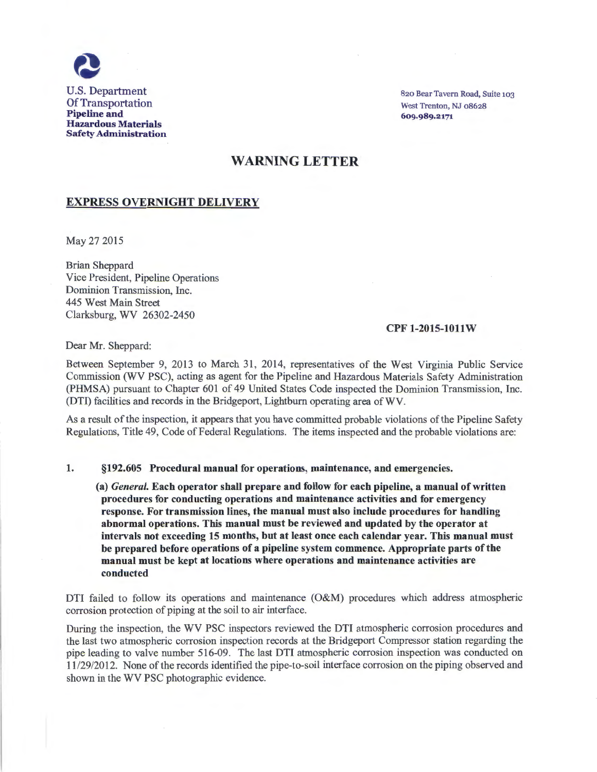

820 Bear Tavern Road, Suite 103 West Trenton, NJ 08628 609.989.2171

# WARNING LETTER

# EXPRESS OVERNIGHT DELIVERY

May 27 2015

Brian Sheppard Vice President, Pipeline Operations Dominion Transmission, Inc. 445 West Main Street Clarksburg, WV 26302-2450

### CPF 1-2015-1011W

Dear Mr. Sheppard:

Between September 9, 2013 to March 31, 2014, representatives of the West Virginia Public Service Commission (WV PSC), acting as agent for the Pipeline and Hazardous Materials Safety Administration (PHMSA) pursuant to Chapter 601 of 49 United States Code inspected the Dominion Transmission, Inc. (DTI) facilities and records in the Bridgeport, Light bum operating area of WV.

As a result of the inspection, it appears that you have committed probable violations of the Pipeline Safety Regulations, Title 49, Code of Federal Regulations. The items inspected and the probable violations are:

#### 1. §192.605 Procedural manual for operations, maintenance, and emergencies.

(a) *General.* Each operator shall prepare and follow for each pipeline, a manual of written procedures for conducting operations and maintenance activities and for emergency response. For transmission lines, the manual must also include procedures for handling abnormal operations. This manual must be reviewed and updated by the operator at intervals not exceeding 15 months, but at least once each calendar year. This manual must be prepared before operations of a pipeline system commence. Appropriate parts of the manual must be kept at locations where operations and maintenance activities are conducted

DTI failed to follow its operations and maintenance (O&M) procedures which address atmospheric corrosion protection of piping at the soil to air interface.

During the inspection, the WV PSC inspectors reviewed the DTI atmospheric corrosion procedures and the last two atmospheric corrosion inspection records at the Bridgeport Compressor station regarding the pipe leading to valve number 516-09. The last DTI atmospheric corrosion inspection was conducted on 11129/2012. None of the records identified the pipe-to-soil interface corrosion on the piping observed and shown in the WV PSC photographic evidence.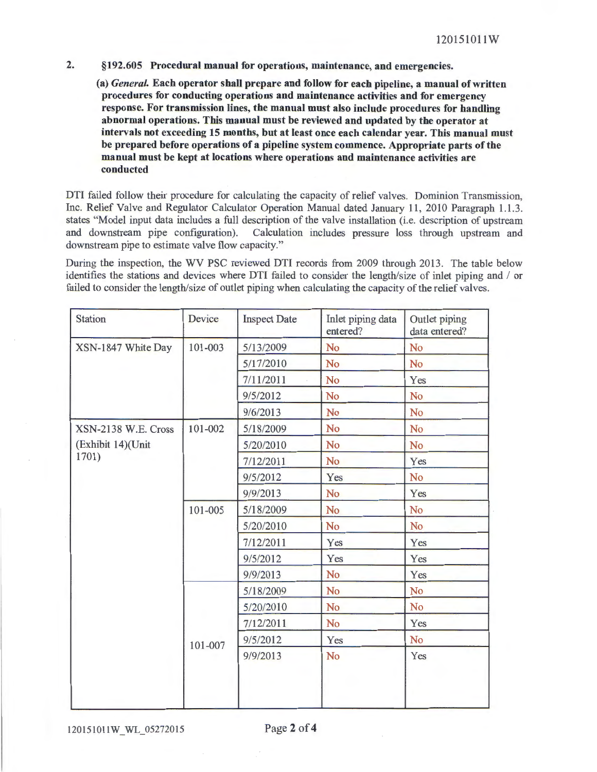2. §192.605 Procedural manual for operations, maintenance, and emergencies.

(a) *General.* Each operator shall prepare and follow for each pipeline, a manual of written procedures for conducting operations and maintenance activities and for emergency response. For transmission lines, the manual must also include procedures for handling abnormal operations. This manual must be reviewed and updated by the operator at intervals not exceeding 15 months, but at least once each calendar year. This manual must be prepared before operations of a pipeline system commence. Appropriate parts of the manual must be kept at locations where operations and maintenance activities are conducted

DTI failed follow their procedure for calculating the capacity of relief valves. Dominion Transmission, Inc. Relief Valve and Regulator Calculator Operation Manual dated January 11, 2010 Paragraph 1.1.3. states "Model input data includes a full description of the valve installation (i.e. description of upstream and downstream pipe configuration). Calculation includes pressure loss through upstream and downstream pipe to estimate valve flow capacity."

During the inspection, the WV PSC reviewed DTI records from 2009 through 2013. The table below identifies the stations and devices where DTI failed to consider the length/size of inlet piping and / or failed to consider the length/size of outlet piping when calculating the capacity of the relief valves.

| 101-003<br>101-002 | 5/13/2009<br>5/17/2010<br>7/11/2011<br>9/5/2012<br>9/6/2013<br>5/18/2009<br>5/20/2010 | <b>No</b><br><b>No</b><br>No<br>No<br>No<br><b>No</b> | No<br>No<br>Yes<br>No<br>No<br><b>No</b> |
|--------------------|---------------------------------------------------------------------------------------|-------------------------------------------------------|------------------------------------------|
|                    |                                                                                       |                                                       |                                          |
|                    |                                                                                       |                                                       |                                          |
|                    |                                                                                       |                                                       |                                          |
|                    |                                                                                       |                                                       |                                          |
|                    |                                                                                       |                                                       |                                          |
|                    |                                                                                       |                                                       |                                          |
|                    |                                                                                       | <b>No</b>                                             | <b>No</b>                                |
|                    | 7/12/2011                                                                             | <b>No</b>                                             | Yes                                      |
|                    | 9/5/2012                                                                              | Yes                                                   | No                                       |
|                    | 9/9/2013                                                                              | No                                                    | Yes                                      |
| 101-005            | 5/18/2009                                                                             | <b>No</b>                                             | No                                       |
|                    | 5/20/2010                                                                             | <b>No</b>                                             | No                                       |
|                    | 7/12/2011                                                                             | Yes                                                   | Yes                                      |
|                    | 9/5/2012                                                                              | Yes                                                   | Yes                                      |
|                    | 9/9/2013                                                                              | <b>No</b>                                             | Yes                                      |
|                    | 5/18/2009                                                                             | No                                                    | No                                       |
|                    | 5/20/2010                                                                             | <b>No</b>                                             | N <sub>o</sub>                           |
|                    | 7/12/2011                                                                             | <b>No</b>                                             | Yes                                      |
|                    | 9/5/2012                                                                              | Yes                                                   | No                                       |
|                    | 9/9/2013                                                                              | No                                                    | Yes                                      |
|                    | 101-007                                                                               |                                                       |                                          |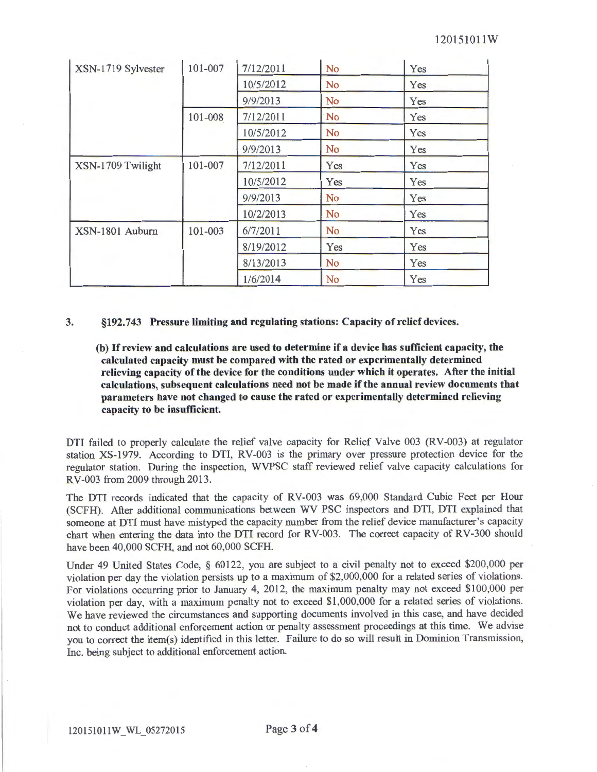| XSN-1719 Sylvester | 101-007 | 7/12/2011 | <b>No</b>      | Yes |
|--------------------|---------|-----------|----------------|-----|
|                    |         | 10/5/2012 | No             | Yes |
|                    |         | 9/9/2013  | <b>No</b>      | Yes |
|                    | 101-008 | 7/12/2011 | No             | Yes |
|                    |         | 10/5/2012 | <b>No</b>      | Yes |
|                    |         | 9/9/2013  | No             | Yes |
| XSN-1709 Twilight  | 101-007 | 7/12/2011 | Yes            | Yes |
|                    |         | 10/5/2012 | Yes            | Yes |
|                    |         | 9/9/2013  | <b>No</b>      | Yes |
|                    |         | 10/2/2013 | <b>No</b>      | Yes |
| XSN-1801 Auburn    | 101-003 | 6/7/2011  | N <sub>o</sub> | Yes |
|                    |         | 8/19/2012 | Yes            | Yes |
|                    |         | 8/13/2013 | N <sub>o</sub> | Yes |
|                    |         | 1/6/2014  | N <sub>o</sub> | Yes |

### 3. §192. 743 Pressure limiting and regulating stations: Capacity of relief devices.

(b) If review and calculations are used to determine if a device has sufficient capacity, the calculated capacity must be compared with the rated or experimentally determined relieving capacity of the device for the conditions under which it operates. After the initial calculations, subsequent calculations need not be made if the annual review documents that parameters have not changed to cause the rated or experimentally determined relieving capacity to be insufficient.

DTI failed to properly calculate the relief valve capacity for Relief Valve 003 (RV -003) at regulator station XS-1979. According to DTI, RV-003 is the primary over pressure protection device for the regulator station. During the inspection, WVPSC staff reviewed relief valve capacity calculations for RV-003 from 2009 through 2013.

The DTI records indicated that the capacity of RV-003 was 69,000 Standard Cubic Feet per Hour (SCFH). After additional communications between WV PSC inspectors and DTI, DTI explained that someone at DTI must have mistyped the capacity number from the relief device manufacturer's capacity chart when entering the data into the DTI record for RV-003. The correct capacity of RV-300 should have been 40,000 SCFH, and not 60,000 SCFH.

Under 49 United States Code, § 60122, you are subject to a civil penalty not to exceed \$200,000 per violation per day the violation persists up to a maximum of \$2,000,000 for a related series of violations. For violations occurring prior to January 4, 2012, the maximum penalty may not exceed \$100,000 per violation per day, with a maximum penalty not to exceed \$1,000,000 for a related series of violations. We have reviewed the circumstances and supporting documents involved in this case, and have decided not to conduct additional enforcement action or penalty assessment proceedings at this time. We advise you to correct the item(s) identified in this letter. Failure to do so will result in Dominion Transmission, Inc. being subject to additional enforcement action.